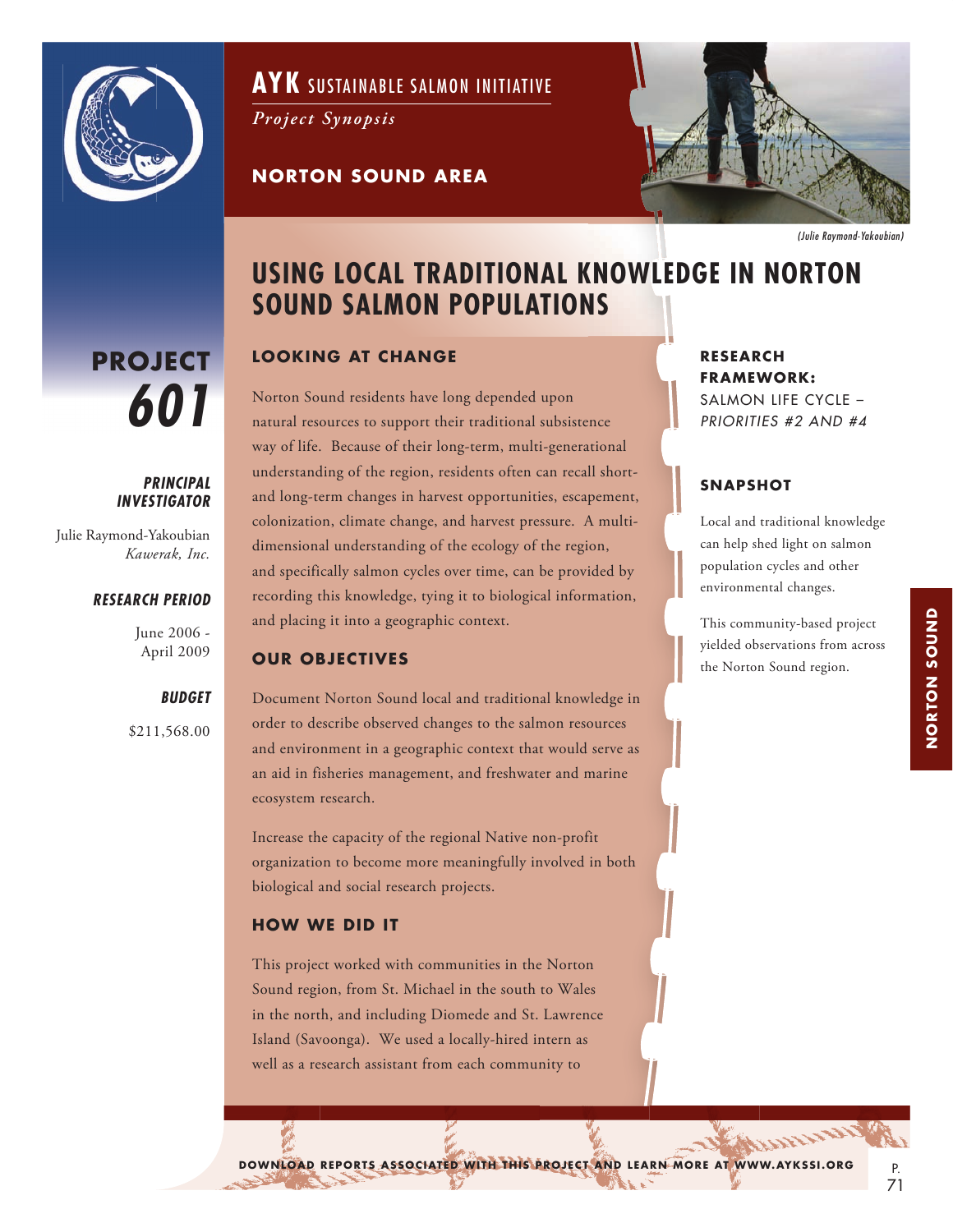

**PROJECT**

Julie Raymond-Yakoubian

*601*

*PRINCIPAL INVESTIGATOR*

*Kawerak, Inc.*

June 2006 - April 2009

\$211,568.00

*BUDGET*

*RESEARCH PERIOD*

**AYK** SUSTAINABLE SALMON INITIATIVE

*Project Synopsis*

**NORTON SOUND AREA**



*(Julie Raymond-Yakoubian)*

# **USING LOCAL TRADITIONAL KNOWLEDGE IN NORTON SOUND SALMON POPULATIONS**

## **LOOKING AT CHANGE**

Norton Sound residents have long depended upon natural resources to support their traditional subsistence way of life. Because of their long-term, multi-generational understanding of the region, residents often can recall shortand long-term changes in harvest opportunities, escapement, colonization, climate change, and harvest pressure. A multidimensional understanding of the ecology of the region, and specifically salmon cycles over time, can be provided by recording this knowledge, tying it to biological information, and placing it into a geographic context.

#### **OUR OBJECTIVES**

Document Norton Sound local and traditional knowledge in order to describe observed changes to the salmon resources and environment in a geographic context that would serve as an aid in fisheries management, and freshwater and marine ecosystem research.

Increase the capacity of the regional Native non-profit organization to become more meaningfully involved in both biological and social research projects.

#### **HOW WE DID IT**

This project worked with communities in the Norton Sound region, from St. Michael in the south to Wales in the north, and including Diomede and St. Lawrence Island (Savoonga). We used a locally-hired intern as well as a research assistant from each community to

#### **RESEARCH FRAMEWORK:** SALMON LIFE CYCLE – *PRIORITIES #2 AND #4*

## **SNAPSHOT**

Local and traditional knowledge can help shed light on salmon population cycles and other environmental changes.

This community-based project yielded observations from across the Norton Sound region.

DOWNLOAD REPORTS ASSOCIATED WITH THIS PROJECT AND LEARN MORE AT WWW.AYKSSI.ORG